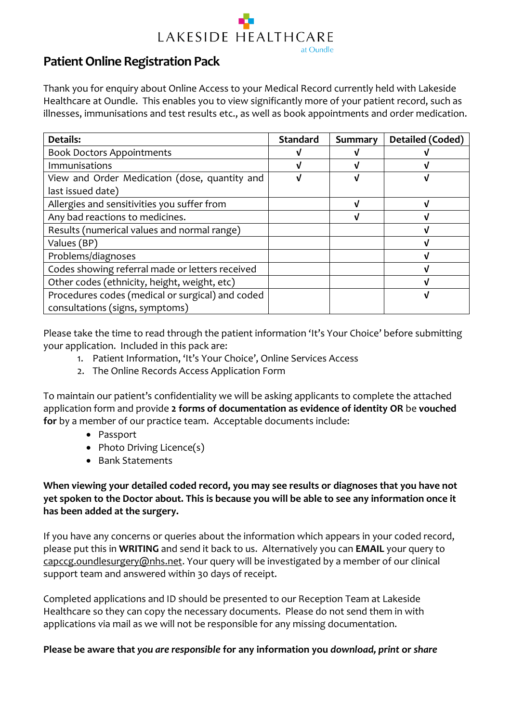

### **Patient Online Registration Pack**

Thank you for enquiry about Online Access to your Medical Record currently held with Lakeside Healthcare at Oundle. This enables you to view significantly more of your patient record, such as illnesses, immunisations and test results etc., as well as book appointments and order medication.

| <b>Details:</b>                                  | <b>Standard</b> | Summary | Detailed (Coded) |
|--------------------------------------------------|-----------------|---------|------------------|
| <b>Book Doctors Appointments</b>                 |                 |         |                  |
| <b>Immunisations</b>                             |                 |         |                  |
| View and Order Medication (dose, quantity and    | N               |         |                  |
| last issued date)                                |                 |         |                  |
| Allergies and sensitivities you suffer from      |                 |         |                  |
| Any bad reactions to medicines.                  |                 |         |                  |
| Results (numerical values and normal range)      |                 |         |                  |
| Values (BP)                                      |                 |         |                  |
| Problems/diagnoses                               |                 |         |                  |
| Codes showing referral made or letters received  |                 |         |                  |
| Other codes (ethnicity, height, weight, etc)     |                 |         |                  |
| Procedures codes (medical or surgical) and coded |                 |         |                  |
| consultations (signs, symptoms)                  |                 |         |                  |

Please take the time to read through the patient information 'It's Your Choice' before submitting your application. Included in this pack are:

- 1. Patient Information, 'It's Your Choice', Online Services Access
- 2. The Online Records Access Application Form

To maintain our patient's confidentiality we will be asking applicants to complete the attached application form and provide **2 forms of documentation as evidence of identity OR** be **vouched for** by a member of our practice team. Acceptable documents include:

- Passport
- Photo Driving Licence(s)
- Bank Statements

### **When viewing your detailed coded record, you may see results or diagnoses that you have not yet spoken to the Doctor about. This is because you will be able to see any information once it has been added at the surgery.**

If you have any concerns or queries about the information which appears in your coded record, please put this in **WRITING** and send it back to us. Alternatively you can **EMAIL** your query to [capccg.oundlesurgery@nhs.net.](mailto:capccg.oundlesurgery@nhs.net) Your query will be investigated by a member of our clinical support team and answered within 30 days of receipt.

Completed applications and ID should be presented to our Reception Team at Lakeside Healthcare so they can copy the necessary documents. Please do not send them in with applications via mail as we will not be responsible for any missing documentation.

#### **Please be aware that** *you are responsible* **for any information you** *download, print* **or** *share*